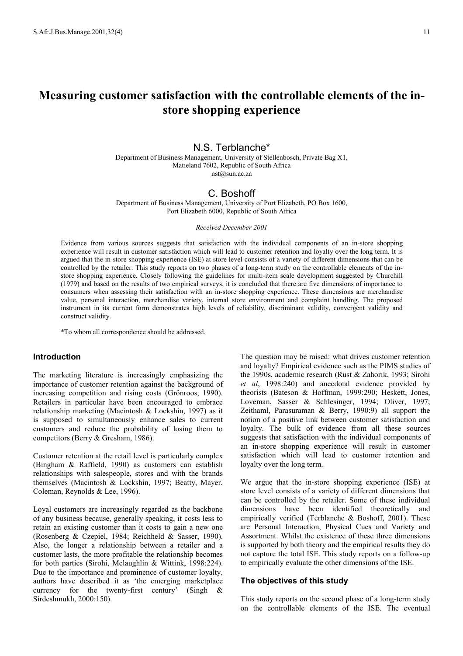# **Measuring customer satisfaction with the controllable elements of the instore shopping experience**

# N.S. Terblanche\*

Department of Business Management, University of Stellenbosch, Private Bag X1, Matieland 7602, Republic of South Africa nst@sun.ac.za

# C. Boshoff

Department of Business Management, University of Port Elizabeth, PO Box 1600, Port Elizabeth 6000, Republic of South Africa

#### *Received December 2001*

Evidence from various sources suggests that satisfaction with the individual components of an in-store shopping experience will result in customer satisfaction which will lead to customer retention and loyalty over the long term. It is argued that the in-store shopping experience (ISE) at store level consists of a variety of different dimensions that can be controlled by the retailer. This study reports on two phases of a long-term study on the controllable elements of the instore shopping experience. Closely following the guidelines for multi-item scale development suggested by Churchill (1979) and based on the results of two empirical surveys, it is concluded that there are five dimensions of importance to consumers when assessing their satisfaction with an in-store shopping experience. These dimensions are merchandise value, personal interaction, merchandise variety, internal store environment and complaint handling. The proposed instrument in its current form demonstrates high levels of reliability, discriminant validity, convergent validity and construct validity.

\*To whom all correspondence should be addressed.

# **Introduction**

The marketing literature is increasingly emphasizing the importance of customer retention against the background of increasing competition and rising costs (Grönroos, 1990). Retailers in particular have been encouraged to embrace relationship marketing (Macintosh & Lockshin, 1997) as it is supposed to simultaneously enhance sales to current customers and reduce the probability of losing them to competitors (Berry & Gresham, 1986).

Customer retention at the retail level is particularly complex (Bingham & Raffield, 1990) as customers can establish relationships with salespeople, stores and with the brands themselves (Macintosh & Lockshin, 1997; Beatty, Mayer, Coleman, Reynolds & Lee, 1996).

Loyal customers are increasingly regarded as the backbone of any business because, generally speaking, it costs less to retain an existing customer than it costs to gain a new one (Rosenberg & Czepiel, 1984; Reichheld & Sasser, 1990). Also, the longer a relationship between a retailer and a customer lasts, the more profitable the relationship becomes for both parties (Sirohi, Mclaughlin & Wittink, 1998:224). Due to the importance and prominence of customer loyalty, authors have described it as 'the emerging marketplace currency for the twenty-first century' (Singh & Sirdeshmukh, 2000:150).

The question may be raised: what drives customer retention and loyalty? Empirical evidence such as the PIMS studies of the 1990s, academic research (Rust & Zahorik, 1993; Sirohi *et al*, 1998:240) and anecdotal evidence provided by theorists (Bateson & Hoffman, 1999:290; Heskett, Jones, Loveman, Sasser & Schlesinger, 1994; Oliver, 1997; Zeithaml, Parasuraman & Berry, 1990:9) all support the notion of a positive link between customer satisfaction and loyalty. The bulk of evidence from all these sources suggests that satisfaction with the individual components of an in-store shopping experience will result in customer satisfaction which will lead to customer retention and loyalty over the long term.

We argue that the in-store shopping experience (ISE) at store level consists of a variety of different dimensions that can be controlled by the retailer. Some of these individual dimensions have been identified theoretically and empirically verified (Terblanche & Boshoff, 2001). These are Personal Interaction, Physical Cues and Variety and Assortment. Whilst the existence of these three dimensions is supported by both theory and the empirical results they do not capture the total ISE. This study reports on a follow-up to empirically evaluate the other dimensions of the ISE.

#### **The objectives of this study**

This study reports on the second phase of a long-term study on the controllable elements of the ISE. The eventual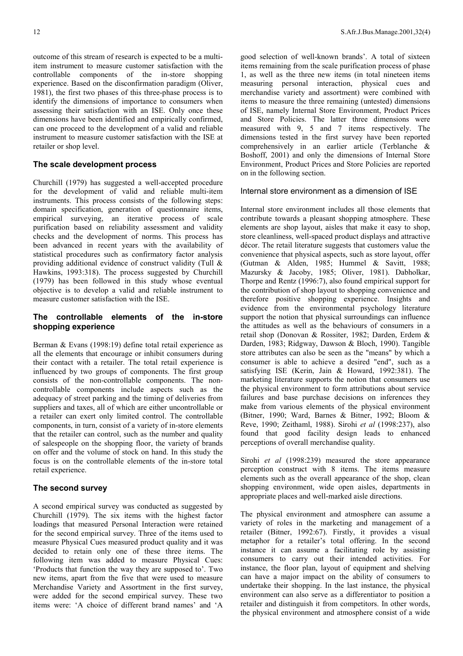outcome of this stream of research is expected to be a multiitem instrument to measure customer satisfaction with the controllable components of the in-store shopping experience. Based on the disconfirmation paradigm (Oliver, 1981), the first two phases of this three-phase process is to identify the dimensions of importance to consumers when assessing their satisfaction with an ISE. Only once these dimensions have been identified and empirically confirmed, can one proceed to the development of a valid and reliable instrument to measure customer satisfaction with the ISE at retailer or shop level.

# **The scale development process**

Churchill (1979) has suggested a well-accepted procedure for the development of valid and reliable multi-item instruments. This process consists of the following steps: domain specification, generation of questionnaire items, empirical surveying, an iterative process of scale purification based on reliability assessment and validity checks and the development of norms. This process has been advanced in recent years with the availability of statistical procedures such as confirmatory factor analysis providing additional evidence of construct validity (Tull & Hawkins, 1993:318). The process suggested by Churchill (1979) has been followed in this study whose eventual objective is to develop a valid and reliable instrument to measure customer satisfaction with the ISE.

# **The controllable elements of the in-store shopping experience**

Berman & Evans (1998:19) define total retail experience as all the elements that encourage or inhibit consumers during their contact with a retailer. The total retail experience is influenced by two groups of components. The first group consists of the non-controllable components. The noncontrollable components include aspects such as the adequacy of street parking and the timing of deliveries from suppliers and taxes, all of which are either uncontrollable or a retailer can exert only limited control. The controllable components, in turn, consist of a variety of in-store elements that the retailer can control, such as the number and quality of salespeople on the shopping floor, the variety of brands on offer and the volume of stock on hand. In this study the focus is on the controllable elements of the in-store total retail experience.

# **The second survey**

A second empirical survey was conducted as suggested by Churchill (1979). The six items with the highest factor loadings that measured Personal Interaction were retained for the second empirical survey. Three of the items used to measure Physical Cues measured product quality and it was decided to retain only one of these three items. The following item was added to measure Physical Cues: 'Products that function the way they are supposed to'. Two new items, apart from the five that were used to measure Merchandise Variety and Assortment in the first survey, were added for the second empirical survey. These two items were: 'A choice of different brand names' and 'A

good selection of well-known brands'. A total of sixteen items remaining from the scale purification process of phase 1, as well as the three new items (in total nineteen items measuring personal interaction, physical cues and merchandise variety and assortment) were combined with items to measure the three remaining (untested) dimensions of ISE, namely Internal Store Environment, Product Prices and Store Policies. The latter three dimensions were measured with 9, 5 and 7 items respectively. The dimensions tested in the first survey have been reported comprehensively in an earlier article (Terblanche & Boshoff, 2001) and only the dimensions of Internal Store Environment, Product Prices and Store Policies are reported on in the following section.

# Internal store environment as a dimension of ISE

Internal store environment includes all those elements that contribute towards a pleasant shopping atmosphere. These elements are shop layout, aisles that make it easy to shop, store cleanliness, well-spaced product displays and attractive décor. The retail literature suggests that customers value the convenience that physical aspects, such as store layout, offer (Gutman & Alden, 1985; Hummel & Savitt, 1988; Mazursky & Jacoby, 1985; Oliver, 1981). Dabholkar, Thorpe and Rentz (1996:7), also found empirical support for the contribution of shop layout to shopping convenience and therefore positive shopping experience. Insights and evidence from the environmental psychology literature support the notion that physical surroundings can influence the attitudes as well as the behaviours of consumers in a retail shop (Donovan & Rossiter, 1982; Darden, Erdem & Darden, 1983; Ridgway, Dawson & Bloch, 1990). Tangible store attributes can also be seen as the "means" by which a consumer is able to achieve a desired "end", such as a satisfying ISE (Kerin, Jain & Howard, 1992:381). The marketing literature supports the notion that consumers use the physical environment to form attributions about service failures and base purchase decisions on inferences they make from various elements of the physical environment (Bitner, 1990; Ward, Barnes & Bitner, 1992; Bloom & Reve, 1990; Zeithaml, 1988). Sirohi *et al* (1998:237), also found that good facility design leads to enhanced perceptions of overall merchandise quality.

Sirohi *et al* (1998:239) measured the store appearance perception construct with 8 items. The items measure elements such as the overall appearance of the shop, clean shopping environment, wide open aisles, departments in appropriate places and well-marked aisle directions.

The physical environment and atmosphere can assume a variety of roles in the marketing and management of a retailer (Bitner, 1992:67). Firstly, it provides a visual metaphor for a retailer's total offering. In the second instance it can assume a facilitating role by assisting consumers to carry out their intended activities. For instance, the floor plan, layout of equipment and shelving can have a major impact on the ability of consumers to undertake their shopping. In the last instance, the physical environment can also serve as a differentiator to position a retailer and distinguish it from competitors. In other words, the physical environment and atmosphere consist of a wide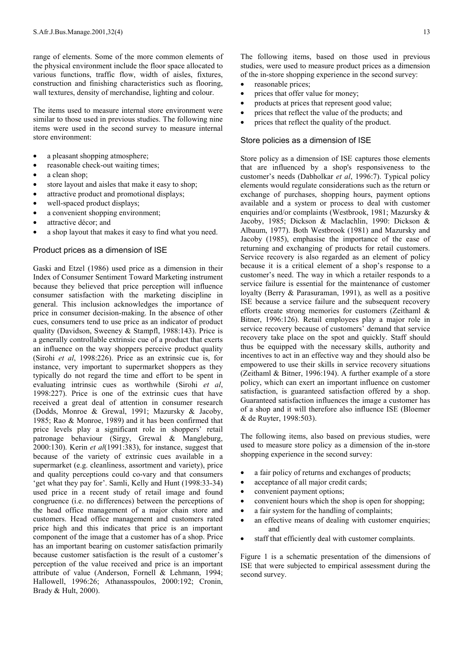range of elements. Some of the more common elements of the physical environment include the floor space allocated to various functions, traffic flow, width of aisles, fixtures, construction and finishing characteristics such as flooring, wall textures, density of merchandise, lighting and colour.

The items used to measure internal store environment were similar to those used in previous studies. The following nine items were used in the second survey to measure internal store environment:

- a pleasant shopping atmosphere;
- reasonable check-out waiting times;
- a clean shop;
- store layout and aisles that make it easy to shop;
- attractive product and promotional displays;
- well-spaced product displays;
- a convenient shopping environment;
- attractive décor; and
- a shop layout that makes it easy to find what you need.

## Product prices as a dimension of ISE

Gaski and Etzel (1986) used price as a dimension in their Index of Consumer Sentiment Toward Marketing instrument because they believed that price perception will influence consumer satisfaction with the marketing discipline in general. This inclusion acknowledges the importance of price in consumer decision-making. In the absence of other cues, consumers tend to use price as an indicator of product quality (Davidson, Sweeney & Stampfl, 1988:143). Price is a generally controllable extrinsic cue of a product that exerts an influence on the way shoppers perceive product quality (Sirohi *et al*, 1998:226). Price as an extrinsic cue is, for instance, very important to supermarket shoppers as they typically do not regard the time and effort to be spent in evaluating intrinsic cues as worthwhile (Sirohi *et al*, 1998:227). Price is one of the extrinsic cues that have received a great deal of attention in consumer research (Dodds, Monroe & Grewal, 1991; Mazursky & Jacoby, 1985; Rao & Monroe, 1989) and it has been confirmed that price levels play a significant role in shoppers' retail patronage behaviour (Sirgy, Grewal & Mangleburg, 2000:130). Kerin *et al*(1991:383), for instance, suggest that because of the variety of extrinsic cues available in a supermarket (e.g. cleanliness, assortment and variety), price and quality perceptions could co-vary and that consumers 'get what they pay for'. Samli, Kelly and Hunt (1998:33-34) used price in a recent study of retail image and found congruence (i.e. no differences) between the perceptions of the head office management of a major chain store and customers. Head office management and customers rated price high and this indicates that price is an important component of the image that a customer has of a shop. Price has an important bearing on customer satisfaction primarily because customer satisfaction is the result of a customer's perception of the value received and price is an important attribute of value (Anderson, Fornell & Lehmann, 1994; Hallowell, 1996:26; Athanasspoulos, 2000:192; Cronin, Brady & Hult, 2000).

The following items, based on those used in previous studies, were used to measure product prices as a dimension of the in-store shopping experience in the second survey:

- reasonable prices;
- prices that offer value for money;
- products at prices that represent good value;
- prices that reflect the value of the products; and
- prices that reflect the quality of the product.

## Store policies as a dimension of ISE

Store policy as a dimension of ISE captures those elements that are influenced by a shop's responsiveness to the customer's needs (Dabholkar *et al*, 1996:7). Typical policy elements would regulate considerations such as the return or exchange of purchases, shopping hours, payment options available and a system or process to deal with customer enquiries and/or complaints (Westbrook, 1981; Mazursky & Jacoby, 1985; Dickson & Maclachlin, 1990: Dickson & Albaum, 1977). Both Westbrook (1981) and Mazursky and Jacoby (1985), emphasise the importance of the ease of returning and exchanging of products for retail customers. Service recovery is also regarded as an element of policy because it is a critical element of a shop's response to a customer's need. The way in which a retailer responds to a service failure is essential for the maintenance of customer loyalty (Berry & Parasuraman, 1991), as well as a positive ISE because a service failure and the subsequent recovery efforts create strong memories for customers (Zeithaml & Bitner, 1996:126). Retail employees play a major role in service recovery because of customers' demand that service recovery take place on the spot and quickly. Staff should thus be equipped with the necessary skills, authority and incentives to act in an effective way and they should also be empowered to use their skills in service recovery situations (Zeithaml & Bitner, 1996:194). A further example of a store policy, which can exert an important influence on customer satisfaction, is guaranteed satisfaction offered by a shop. Guaranteed satisfaction influences the image a customer has of a shop and it will therefore also influence ISE (Bloemer & de Ruyter, 1998:503).

The following items, also based on previous studies, were used to measure store policy as a dimension of the in-store shopping experience in the second survey:

- a fair policy of returns and exchanges of products;
- acceptance of all major credit cards;
- convenient payment options;
- convenient hours which the shop is open for shopping:
- a fair system for the handling of complaints;
- an effective means of dealing with customer enquiries; and
- staff that efficiently deal with customer complaints.

Figure 1 is a schematic presentation of the dimensions of ISE that were subjected to empirical assessment during the second survey.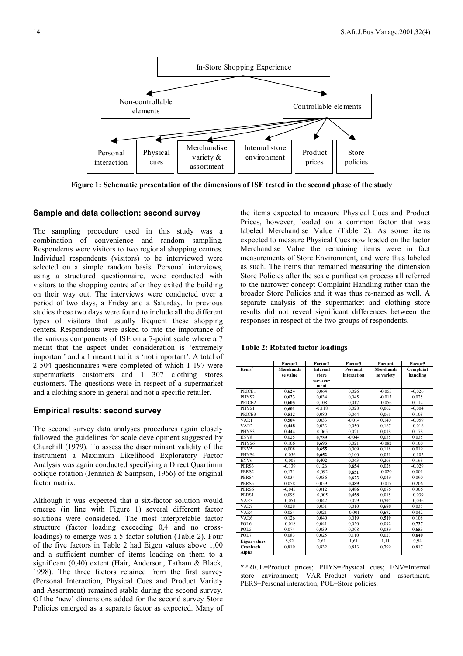

**Figure 1: Schematic presentation of the dimensions of ISE tested in the second phase of the study** 

## **Sample and data collection: second survey**

The sampling procedure used in this study was a combination of convenience and random sampling. Respondents were visitors to two regional shopping centres. Individual respondents (visitors) to be interviewed were selected on a simple random basis. Personal interviews, using a structured questionnaire, were conducted with visitors to the shopping centre after they exited the building on their way out. The interviews were conducted over a period of two days, a Friday and a Saturday. In previous studies these two days were found to include all the different types of visitors that usually frequent these shopping centers. Respondents were asked to rate the importance of the various components of ISE on a 7-point scale where a 7 meant that the aspect under consideration is 'extremely important' and a 1 meant that it is 'not important'. A total of 2 504 questionnaires were completed of which 1 197 were supermarkets customers and 1 307 clothing stores customers. The questions were in respect of a supermarket and a clothing shore in general and not a specific retailer.

#### **Empirical results: second survey**

The second survey data analyses procedures again closely followed the guidelines for scale development suggested by Churchill (1979). To assess the discriminant validity of the instrument a Maximum Likelihood Exploratory Factor Analysis was again conducted specifying a Direct Quartimin oblique rotation (Jennrich & Sampson, 1966) of the original factor matrix.

Although it was expected that a six-factor solution would emerge (in line with Figure 1) several different factor solutions were considered. The most interpretable factor structure (factor loading exceeding 0,4 and no crossloadings) to emerge was a 5-factor solution (Table 2). Four of the five factors in Table 2 had Eigen values above 1,00 and a sufficient number of items loading on them to a significant (0,40) extent (Hair, Anderson, Tatham & Black, 1998). The three factors retained from the first survey (Personal Interaction, Physical Cues and Product Variety and Assortment) remained stable during the second survey. Of the 'new' dimensions added for the second survey Store Policies emerged as a separate factor as expected. Many of

the items expected to measure Physical Cues and Product Prices, however, loaded on a common factor that was labeled Merchandise Value (Table 2). As some items expected to measure Physical Cues now loaded on the factor Merchandise Value the remaining items were in fact measurements of Store Environment, and were thus labeled as such. The items that remained measuring the dimension Store Policies after the scale purification process all referred to the narrower concept Complaint Handling rather than the broader Store Policies and it was thus re-named as well. A separate analysis of the supermarket and clothing store results did not reveal significant differences between the responses in respect of the two groups of respondents.

**Table 2: Rotated factor loadings** 

|                     | <b>Factor1</b> | Factor2  | Factor3     | Factor4    | Factor5   |
|---------------------|----------------|----------|-------------|------------|-----------|
| Items <sup>*</sup>  | Merchandi      | Internal | Personal    | Merchandi  | Complaint |
|                     | se value       | store    | interaction | se variety | handling  |
|                     |                | environ- |             |            |           |
|                     |                | ment     |             |            |           |
| PRICE1              | 0,624          | 0.064    | 0,026       | $-0.055$   | $-0.026$  |
| PHYS2               | 0,623          | 0,034    | 0,045       | $-0,013$   | 0,025     |
| PRICE2              | 0.605          | 0,108    | 0,017       | $-0.056$   | 0,112     |
| PHYS1               | 0,601          | $-0,118$ | 0,028       | 0,002      | $-0,004$  |
| PRICE3              | 0.512          | 0,080    | 0,064       | 0,061      | 0,108     |
| VAR1                | 0.504          | 0,033    | $-0.014$    | 0.140      | $-0.059$  |
| VAR <sub>2</sub>    | 0,448          | 0,033    | 0,050       | 0,167      | $-0.016$  |
| PHYS3               | 0,444          | $-0,065$ | 0,021       | 0,018      | 0,178     |
| ENV8                | 0.025          | 0,739    | $-0,044$    | 0,035      | 0,035     |
| PHYS6               | 0,106          | 0,695    | 0.021       | $-0.082$   | 0.100     |
| ENV5                | 0,008          | 0,655    | 0,009       | 0,118      | 0,019     |
| PHYS4               | $-0,056$       | 0,652    | 0,100       | 0,071      | $-0,102$  |
| ENV <sub>6</sub>    | $-0,005$       | 0,402    | 0,063       | 0,208      | 0,168     |
| PERS3               | $-0,139$       | 0,126    | 0,654       | 0,028      | $-0.029$  |
| PERS2               | 0,171          | $-0.092$ | 0,651       | $-0,020$   | 0,001     |
| PERS4               | 0,034          | 0,036    | 0,623       | 0,049      | 0.090     |
| PERS5               | 0,058          | 0,059    | 0,489       | $-0,017$   | 0,206     |
| PERS6               | $-0.045$       | 0,012    | 0,486       | 0,086      | 0,306     |
| PERS1               | 0,095          | $-0,005$ | 0,458       | 0,015      | $-0,039$  |
| VAR3                | $-0.051$       | 0,042    | 0,029       | 0,707      | $-0.036$  |
| VAR7                | 0.028          | 0,031    | 0,010       | 0.688      | 0,035     |
| VAR4                | 0,054          | 0,021    | $-0,001$    | 0,672      | 0,042     |
| VAR <sub>6</sub>    | 0,126          | 0,040    | 0,019       | 0,519      | 0,108     |
| POL <sub>6</sub>    | $-0.018$       | 0.041    | 0.050       | 0,092      | 0,737     |
| POL5                | 0,074          | 0,039    | 0,008       | 0,039      | 0,653     |
| POL7                | 0,083          | 0,025    | 0,110       | 0,023      | 0,640     |
| <b>Eigen values</b> | 8,52           | 2,61     | 1,61        | 1,11       | 0,94      |
| Cronbach            | 0,819          | 0,832    | 0,813       | 0,799      | 0,817     |
| Alpha               |                |          |             |            |           |

**\***PRICE=Product prices; PHYS=Physical cues; ENV=Internal store environment; VAR=Product variety and assortment; PERS=Personal interaction; POL=Store policies.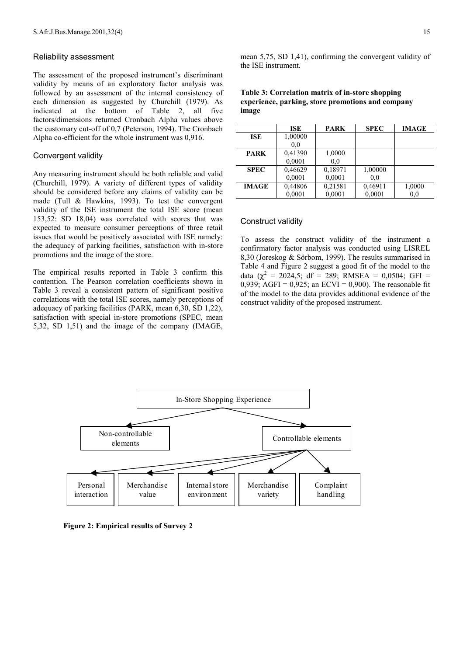#### Reliability assessment

The assessment of the proposed instrument's discriminant validity by means of an exploratory factor analysis was followed by an assessment of the internal consistency of each dimension as suggested by Churchill (1979). As indicated at the bottom of Table 2, all five factors/dimensions returned Cronbach Alpha values above the customary cut-off of 0,7 (Peterson, 1994). The Cronbach Alpha co-efficient for the whole instrument was 0,916.

#### Convergent validity

Any measuring instrument should be both reliable and valid (Churchill, 1979). A variety of different types of validity should be considered before any claims of validity can be made (Tull & Hawkins, 1993). To test the convergent validity of the ISE instrument the total ISE score (mean 153,52: SD 18,04) was correlated with scores that was expected to measure consumer perceptions of three retail issues that would be positively associated with ISE namely: the adequacy of parking facilities, satisfaction with in-store promotions and the image of the store.

The empirical results reported in Table 3 confirm this contention. The Pearson correlation coefficients shown in Table 3 reveal a consistent pattern of significant positive correlations with the total ISE scores, namely perceptions of adequacy of parking facilities (PARK, mean 6,30, SD 1,22), satisfaction with special in-store promotions (SPEC, mean 5,32, SD 1,51) and the image of the company (IMAGE, mean 5,75, SD 1,41), confirming the convergent validity of the ISE instrument.

| Table 3: Correlation matrix of in-store shopping  |
|---------------------------------------------------|
| experience, parking, store promotions and company |
| image                                             |

|              | <b>ISE</b> | <b>PARK</b> | <b>SPEC</b> | <b>IMAGE</b> |
|--------------|------------|-------------|-------------|--------------|
| <b>ISE</b>   | 1,00000    |             |             |              |
|              | 0.0        |             |             |              |
| <b>PARK</b>  | 0,41390    | 1,0000      |             |              |
|              | 0,0001     | 0.0         |             |              |
| <b>SPEC</b>  | 0,46629    | 0,18971     | 1,00000     |              |
|              | 0,0001     | 0,0001      | 0.0         |              |
| <b>IMAGE</b> | 0,44806    | 0,21581     | 0,46911     | 1,0000       |
|              | 0,0001     | 0,0001      | 0,0001      | 0.0          |

#### Construct validity

To assess the construct validity of the instrument a confirmatory factor analysis was conducted using LISREL 8,30 (Joreskog & Sörbom, 1999). The results summarised in Table 4 and Figure 2 suggest a good fit of the model to the data ( $\chi^2$  = 2024,5; df = 289; RMSEA = 0,0504; GFI = 0,939; AGFI =  $0.925$ ; an ECVI = 0,900). The reasonable fit of the model to the data provides additional evidence of the construct validity of the proposed instrument.



**Figure 2: Empirical results of Survey 2**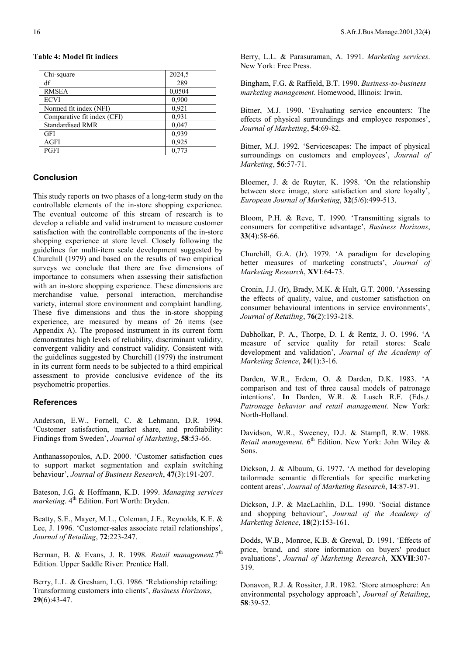| Chi-square                  | 2024,5 |
|-----------------------------|--------|
| df                          | 289    |
| <b>RMSEA</b>                | 0.0504 |
| <b>ECVI</b>                 | 0,900  |
| Normed fit index (NFI)      | 0.921  |
| Comparative fit index (CFI) | 0.931  |
| <b>Standardised RMR</b>     | 0,047  |
| <b>GFI</b>                  | 0,939  |
| <b>AGFI</b>                 | 0.925  |
| PGFI                        | 0,773  |

# **Table 4: Model fit indices**

# **Conclusion**

This study reports on two phases of a long-term study on the controllable elements of the in-store shopping experience. The eventual outcome of this stream of research is to develop a reliable and valid instrument to measure customer satisfaction with the controllable components of the in-store shopping experience at store level. Closely following the guidelines for multi-item scale development suggested by Churchill (1979) and based on the results of two empirical surveys we conclude that there are five dimensions of importance to consumers when assessing their satisfaction with an in-store shopping experience. These dimensions are merchandise value, personal interaction, merchandise variety, internal store environment and complaint handling. These five dimensions and thus the in-store shopping experience, are measured by means of 26 items (see Appendix A). The proposed instrument in its current form demonstrates high levels of reliability, discriminant validity, convergent validity and construct validity. Consistent with the guidelines suggested by Churchill (1979) the instrument in its current form needs to be subjected to a third empirical assessment to provide conclusive evidence of the its psychometric properties.

# **References**

Anderson, E.W., Fornell, C. & Lehmann, D.R. 1994. 'Customer satisfaction, market share, and profitability: Findings from Sweden', *Journal of Marketing*, **58**:53-66.

Anthanassopoulos, A.D. 2000. 'Customer satisfaction cues to support market segmentation and explain switching behaviour', *Journal of Business Research*, **47**(3):191-207.

Bateson, J.G. & Hoffmann, K.D. 1999. *Managing services marketing*. 4<sup>th</sup> Edition. Fort Worth: Dryden.

Beatty, S.E., Mayer, M.L., Coleman, J.E., Reynolds, K.E. & Lee, J. 1996. 'Customer-sales associate retail relationships', *Journal of Retailing*, **72**:223-247.

Berman, B. & Evans, J. R. 1998. Retail management.<sup>7th</sup> Edition. Upper Saddle River: Prentice Hall.

Berry, L.L. & Gresham, L.G. 1986. 'Relationship retailing: Transforming customers into clients', *Business Horizons*, **29**(6):43-47.

Berry, L.L. & Parasuraman, A. 1991. *Marketing services*. New York: Free Press.

Bingham, F.G. & Raffield, B.T. 1990. *Business-to-business marketing management*. Homewood, Illinois: Irwin.

Bitner, M.J. 1990. 'Evaluating service encounters: The effects of physical surroundings and employee responses', *Journal of Marketing*, **54**:69-82.

Bitner, M.J. 1992. 'Servicescapes: The impact of physical surroundings on customers and employees', *Journal of Marketing*, **56**:57-71.

Bloemer, J. & de Ruyter, K. 1998. 'On the relationship between store image, store satisfaction and store loyalty', *European Journal of Marketing*, **32**(5/6):499-513.

Bloom, P.H. & Reve, T. 1990. 'Transmitting signals to consumers for competitive advantage', *Business Horizons*, **33**(4):58-66.

Churchill, G.A. (Jr). 1979. 'A paradigm for developing better measures of marketing constructs', *Journal of Marketing Research*, **XVI**:64-73.

Cronin, J.J. (Jr), Brady, M.K. & Hult, G.T. 2000. 'Assessing the effects of quality, value, and customer satisfaction on consumer behavioural intentions in service environments', *Journal of Retailing*, **76**(2):193-218.

Dabholkar, P. A., Thorpe, D. I. & Rentz, J. O. 1996. 'A measure of service quality for retail stores: Scale development and validation', *Journal of the Academy of Marketing Science*, **24**(1):3-16.

Darden, W.R., Erdem, O. & Darden, D.K. 1983. 'A comparison and test of three causal models of patronage intentions'. **In** Darden, W.R. & Lusch R.F. (Eds*.). Patronage behavior and retail management.* New York: North-Holland.

Davidson, W.R., Sweeney, D.J. & Stampfl, R.W. 1988. *Retail management.* 6th Edition. New York: John Wiley & Sons.

Dickson, J. & Albaum, G. 1977. 'A method for developing tailormade semantic differentials for specific marketing content areas', *Journal of Marketing Research*, **14**:87-91.

Dickson, J.P. & MacLachlin, D.L. 1990. 'Social distance and shopping behaviour', *Journal of the Academy of Marketing Science*, **18**(2):153-161.

Dodds, W.B., Monroe, K.B. & Grewal, D. 1991. 'Effects of price, brand, and store information on buyers' product evaluations', *Journal of Marketing Research*, **XXVII**:307- 319.

Donavon, R.J. & Rossiter, J.R. 1982. 'Store atmosphere: An environmental psychology approach', *Journal of Retailing*, **58**:39-52.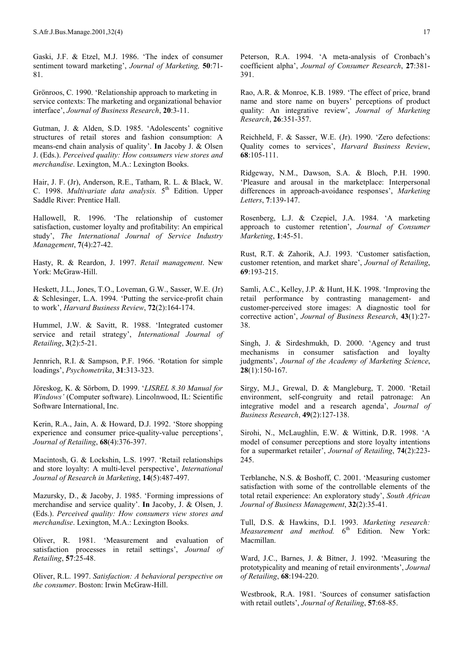Gaski, J.F. & Etzel, M.J. 1986. 'The index of consumer sentiment toward marketing', *Journal of Marketing,* **50**:71- 81.

Grönroos, C. 1990. 'Relationship approach to marketing in service contexts: The marketing and organizational behavior interface', *Journal of Business Research*, **20**:3-11.

Gutman, J. & Alden, S.D. 1985. 'Adolescents' cognitive structures of retail stores and fashion consumption: A means-end chain analysis of quality'. **In** Jacoby J. & Olsen J. (Eds.). *Perceived quality: How consumers view stores and merchandise*. Lexington, M.A.: Lexington Books.

Hair, J. F. (Jr), Anderson, R.E., Tatham, R. L. & Black, W. C. 1998. *Multivariate data analysis*. 5<sup>th</sup> Edition. Upper Saddle River: Prentice Hall.

Hallowell, R. 1996. 'The relationship of customer satisfaction, customer loyalty and profitability: An empirical study', *The International Journal of Service Industry Management*, **7**(4):27-42.

Hasty, R. & Reardon, J. 1997. *Retail management*. New York: McGraw-Hill.

Heskett, J.L., Jones, T.O., Loveman, G.W., Sasser, W.E. (Jr) & Schlesinger, L.A. 1994. 'Putting the service-profit chain to work', *Harvard Business Review*, **72**(2):164-174.

Hummel, J.W. & Savitt, R. 1988. 'Integrated customer service and retail strategy', *International Journal of Retailing*, **3**(2):5-21.

Jennrich, R.I. & Sampson, P.F. 1966. 'Rotation for simple loadings', *Psychometrika*, **31**:313-323.

Jöreskog, K. & Sörbom, D. 1999. '*LISREL 8.30 Manual for Windows'* (Computer software). Lincolnwood, IL: Scientific Software International, Inc.

Kerin, R.A., Jain, A. & Howard, D.J. 1992. 'Store shopping experience and consumer price-quality-value perceptions', *Journal of Retailing*, **68**(4):376-397.

Macintosh, G. & Lockshin, L.S. 1997. 'Retail relationships and store loyalty: A multi-level perspective', *International Journal of Research in Marketing*, **14**(5):487-497.

Mazursky, D., & Jacoby, J. 1985. 'Forming impressions of merchandise and service quality'. **In** Jacoby, J. & Olsen, J. (Eds.). *Perceived quality: How consumers view stores and merchandise*. Lexington, M.A.: Lexington Books.

Oliver, R. 1981. 'Measurement and evaluation of satisfaction processes in retail settings', *Journal of Retailing*, **57**:25-48.

Oliver, R.L. 1997. *Satisfaction: A behavioral perspective on the consumer*. Boston: Irwin McGraw-Hill.

Peterson, R.A. 1994. 'A meta-analysis of Cronbach's coefficient alpha', *Journal of Consumer Research*, **27**:381- 391.

Rao, A.R. & Monroe, K.B. 1989. 'The effect of price, brand name and store name on buyers' perceptions of product quality: An integrative review', *Journal of Marketing Research*, **26**:351-357.

Reichheld, F. & Sasser, W.E. (Jr). 1990. 'Zero defections: Quality comes to services', *Harvard Business Review*, **68**:105-111.

Ridgeway, N.M., Dawson, S.A. & Bloch, P.H. 1990. 'Pleasure and arousal in the marketplace: Interpersonal differences in approach-avoidance responses', *Marketing Letters*, **7**:139-147.

Rosenberg, L.J. & Czepiel, J.A. 1984. 'A marketing approach to customer retention', *Journal of Consumer Marketing*, **1**:45-51.

Rust, R.T. & Zahorik, A.J. 1993. 'Customer satisfaction, customer retention, and market share', *Journal of Retailing*, **69**:193-215.

Samli, A.C., Kelley, J.P. & Hunt, H.K. 1998. 'Improving the retail performance by contrasting management- and customer-perceived store images: A diagnostic tool for corrective action', *Journal of Business Research*, **43**(1):27- 38.

Singh, J. & Sirdeshmukh, D. 2000. 'Agency and trust mechanisms in consumer satisfaction and loyalty judgments', *Journal of the Academy of Marketing Science*, **28**(1):150-167.

Sirgy, M.J., Grewal, D. & Mangleburg, T. 2000. 'Retail environment, self-congruity and retail patronage: An integrative model and a research agenda', *Journal of Business Research*, **49**(2):127-138.

Sirohi, N., McLaughlin, E.W. & Wittink, D.R. 1998. 'A model of consumer perceptions and store loyalty intentions for a supermarket retailer', *Journal of Retailing*, **74**(2):223- 245.

Terblanche, N.S. & Boshoff, C. 2001. 'Measuring customer satisfaction with some of the controllable elements of the total retail experience: An exploratory study', *South African Journal of Business Management*, **32**(2):35-41.

Tull, D.S. & Hawkins, D.I. 1993. *Marketing research: Measurement and method.* 6<sup>th</sup> Edition. New York: Macmillan.

Ward, J.C., Barnes, J. & Bitner, J. 1992. 'Measuring the prototypicality and meaning of retail environments', *Journal of Retailing*, **68**:194-220.

Westbrook, R.A. 1981. 'Sources of consumer satisfaction with retail outlets', *Journal of Retailing*, **57**:68-85.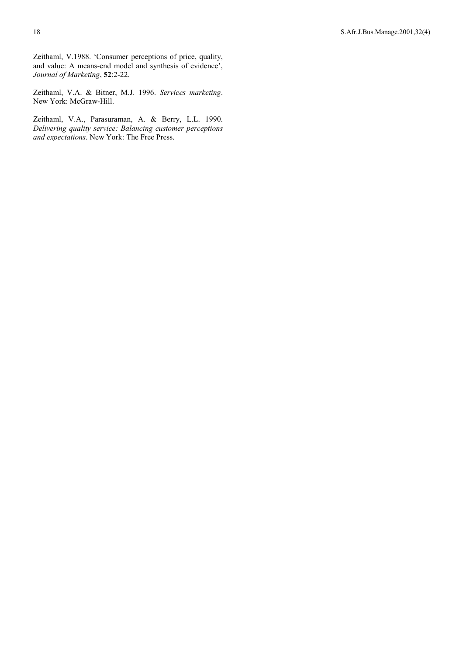Zeithaml, V.1988. 'Consumer perceptions of price, quality, and value: A means-end model and synthesis of evidence', *Journal of Marketing*, **52**:2-22.

Zeithaml, V.A. & Bitner, M.J. 1996. *Services marketing*. New York: McGraw-Hill.

Zeithaml, V.A., Parasuraman, A. & Berry, L.L. 1990. *Delivering quality service: Balancing customer perceptions and expectations*. New York: The Free Press.